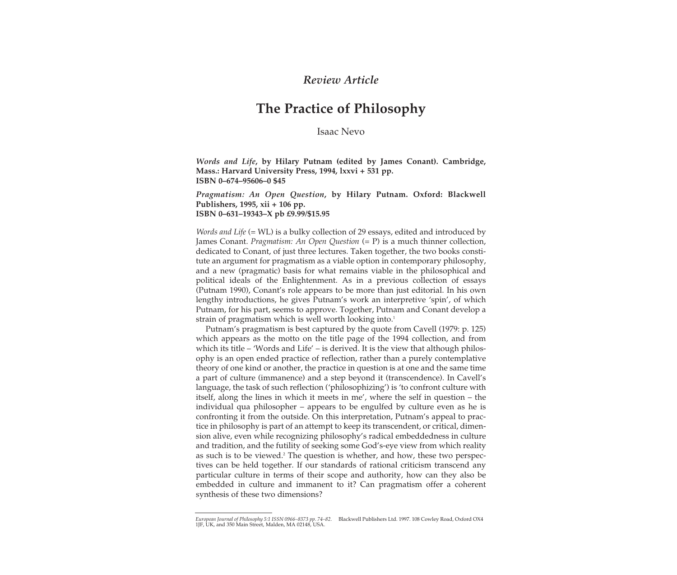## *Review Article*

# **The Practice of Philosophy**

Isaac Nevo

*Words and Life***, by Hilary Putnam (edited by James Conant). Cambridge, Mass.: Harvard University Press, 1994, lxxvi + 531 pp. ISBN 0–674–95606–0 \$45**

*Pragmatism: An Open Question***, by Hilary Putnam. Oxford: Blackwell Publishers, 1995, xii + 106 pp. ISBN 0–631–19343–X pb £9.99/\$15.95**

*Words and Life* (= WL) is a bulky collection of 29 essays, edited and introduced by James Conant. *Pragmatism: An Open Question* (= P) is a much thinner collection, dedicated to Conant, of just three lectures. Taken together, the two books constitute an argument for pragmatism as a viable option in contemporary philosophy, and a new (pragmatic) basis for what remains viable in the philosophical and political ideals of the Enlightenment. As in a previous collection of essays (Putnam 1990), Conant's role appears to be more than just editorial. In his own lengthy introductions, he gives Putnam's work an interpretive 'spin', of which Putnam, for his part, seems to approve. Together, Putnam and Conant develop a strain of pragmatism which is well worth looking into.<sup>1</sup>

Putnam's pragmatism is best captured by the quote from Cavell (1979: p. 125) which appears as the motto on the title page of the 1994 collection, and from which its title – 'Words and Life' – is derived. It is the view that although philosophy is an open ended practice of reflection, rather than a purely contemplative theory of one kind or another, the practice in question is at one and the same time a part of culture (immanence) and a step beyond it (transcendence). In Cavell's language, the task of such reflection ('philosophizing') is 'to confront culture with itself, along the lines in which it meets in me', where the self in question – the individual qua philosopher – appears to be engulfed by culture even as he is confronting it from the outside. On this interpretation, Putnam's appeal to practice in philosophy is part of an attempt to keep its transcendent, or critical, dimension alive, even while recognizing philosophy's radical embeddedness in culture and tradition, and the futility of seeking some God's-eye view from which reality as such is to be viewed.<sup>2</sup> The question is whether, and how, these two perspectives can be held together. If our standards of rational criticism transcend any particular culture in terms of their scope and authority, how can they also be embedded in culture and immanent to it? Can pragmatism offer a coherent synthesis of these two dimensions?

E*uropean Journal of Philosophy 5:1 ISSN 0966–8373 pp. 74–82.* © Blackwell Publishers Ltd. 1997. 108 Cowley Road, Oxford OX4<br>1JF, UK, and 350 Main Street, Malden, MA 02148, USA.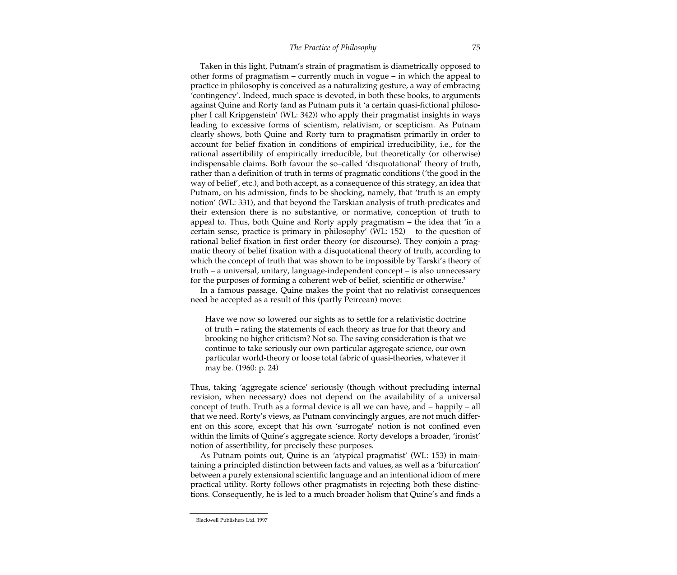Taken in this light, Putnam's strain of pragmatism is diametrically opposed to other forms of pragmatism – currently much in vogue – in which the appeal to practice in philosophy is conceived as a naturalizing gesture, a way of embracing 'contingency'. Indeed, much space is devoted, in both these books, to arguments against Quine and Rorty (and as Putnam puts it 'a certain quasi-fictional philosopher I call Kripgenstein' (WL: 342)) who apply their pragmatist insights in ways leading to excessive forms of scientism, relativism, or scepticism. As Putnam clearly shows, both Quine and Rorty turn to pragmatism primarily in order to account for belief fixation in conditions of empirical irreducibility, i.e., for the rational assertibility of empirically irreducible, but theoretically (or otherwise) indispensable claims. Both favour the so–called 'disquotational' theory of truth, rather than a definition of truth in terms of pragmatic conditions ('the good in the way of belief', etc.), and both accept, as a consequence of this strategy, an idea that Putnam, on his admission, finds to be shocking, namely, that 'truth is an empty notion' (WL: 331), and that beyond the Tarskian analysis of truth-predicates and their extension there is no substantive, or normative, conception of truth to appeal to. Thus, both Quine and Rorty apply pragmatism – the idea that 'in a certain sense, practice is primary in philosophy' (WL: 152) – to the question of rational belief fixation in first order theory (or discourse). They conjoin a pragmatic theory of belief fixation with a disquotational theory of truth, according to which the concept of truth that was shown to be impossible by Tarski's theory of truth – a universal, unitary, language-independent concept – is also unnecessary for the purposes of forming a coherent web of belief, scientific or otherwise.<sup>3</sup>

In a famous passage, Quine makes the point that no relativist consequences need be accepted as a result of this (partly Peircean) move:

Have we now so lowered our sights as to settle for a relativistic doctrine of truth – rating the statements of each theory as true for that theory and brooking no higher criticism? Not so. The saving consideration is that we continue to take seriously our own particular aggregate science, our own particular world-theory or loose total fabric of quasi-theories, whatever it may be. (1960: p. 24)

Thus, taking 'aggregate science' seriously (though without precluding internal revision, when necessary) does not depend on the availability of a universal concept of truth. Truth as a formal device is all we can have, and – happily – all that we need. Rorty's views, as Putnam convincingly argues, are not much different on this score, except that his own 'surrogate' notion is not confined even within the limits of Quine's aggregate science. Rorty develops a broader, 'ironist' notion of assertibility, for precisely these purposes.

As Putnam points out, Quine is an 'atypical pragmatist' (WL: 153) in maintaining a principled distinction between facts and values, as well as a 'bifurcation' between a purely extensional scientific language and an intentional idiom of mere practical utility. Rorty follows other pragmatists in rejecting both these distinctions. Consequently, he is led to a much broader holism that Quine's and finds a

Blackwell Publishers Ltd. 1997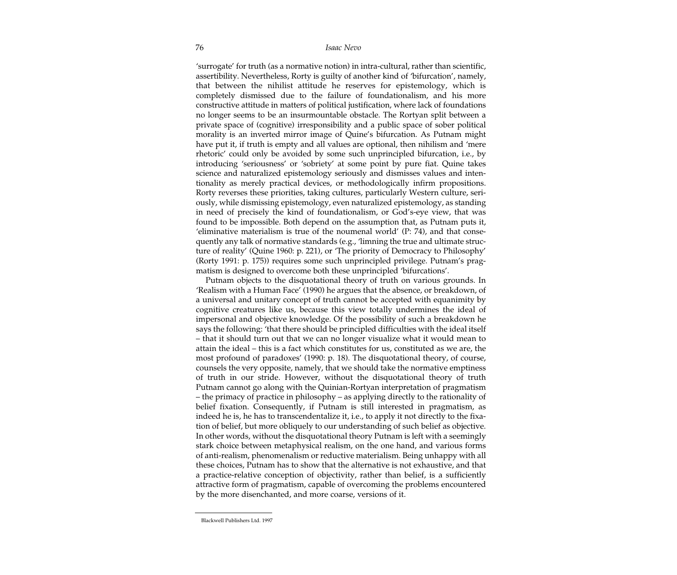'surrogate' for truth (as a normative notion) in intra-cultural, rather than scientific, assertibility. Nevertheless, Rorty is guilty of another kind of 'bifurcation', namely, that between the nihilist attitude he reserves for epistemology, which is completely dismissed due to the failure of foundationalism, and his more constructive attitude in matters of political justification, where lack of foundations no longer seems to be an insurmountable obstacle. The Rortyan split between a private space of (cognitive) irresponsibility and a public space of sober political morality is an inverted mirror image of Quine's bifurcation. As Putnam might have put it, if truth is empty and all values are optional, then nihilism and 'mere rhetoric' could only be avoided by some such unprincipled bifurcation, i.e., by introducing 'seriousness' or 'sobriety' at some point by pure fiat. Quine takes science and naturalized epistemology seriously and dismisses values and intentionality as merely practical devices, or methodologically infirm propositions. Rorty reverses these priorities, taking cultures, particularly Western culture, seriously, while dismissing epistemology, even naturalized epistemology, as standing in need of precisely the kind of foundationalism, or God's-eye view, that was found to be impossible. Both depend on the assumption that, as Putnam puts it, 'eliminative materialism is true of the noumenal world' (P: 74), and that consequently any talk of normative standards (e.g., 'limning the true and ultimate structure of reality' (Quine 1960: p. 221), or 'The priority of Democracy to Philosophy' (Rorty 1991: p. 175)) requires some such unprincipled privilege. Putnam's pragmatism is designed to overcome both these unprincipled 'bifurcations'.

Putnam objects to the disquotational theory of truth on various grounds. In 'Realism with a Human Face' (1990) he argues that the absence, or breakdown, of a universal and unitary concept of truth cannot be accepted with equanimity by cognitive creatures like us, because this view totally undermines the ideal of impersonal and objective knowledge. Of the possibility of such a breakdown he says the following: 'that there should be principled difficulties with the ideal itself – that it should turn out that we can no longer visualize what it would mean to attain the ideal – this is a fact which constitutes for us, constituted as we are, the most profound of paradoxes' (1990: p. 18). The disquotational theory, of course, counsels the very opposite, namely, that we should take the normative emptiness of truth in our stride. However, without the disquotational theory of truth Putnam cannot go along with the Quinian-Rortyan interpretation of pragmatism – the primacy of practice in philosophy – as applying directly to the rationality of belief fixation. Consequently, if Putnam is still interested in pragmatism, as indeed he is, he has to transcendentalize it, i.e., to apply it not directly to the fixation of belief, but more obliquely to our understanding of such belief as objective. In other words, without the disquotational theory Putnam is left with a seemingly stark choice between metaphysical realism, on the one hand, and various forms of anti-realism, phenomenalism or reductive materialism. Being unhappy with all these choices, Putnam has to show that the alternative is not exhaustive, and that a practice-relative conception of objectivity, rather than belief, is a sufficiently attractive form of pragmatism, capable of overcoming the problems encountered by the more disenchanted, and more coarse, versions of it.

Blackwell Publishers Ltd. 1997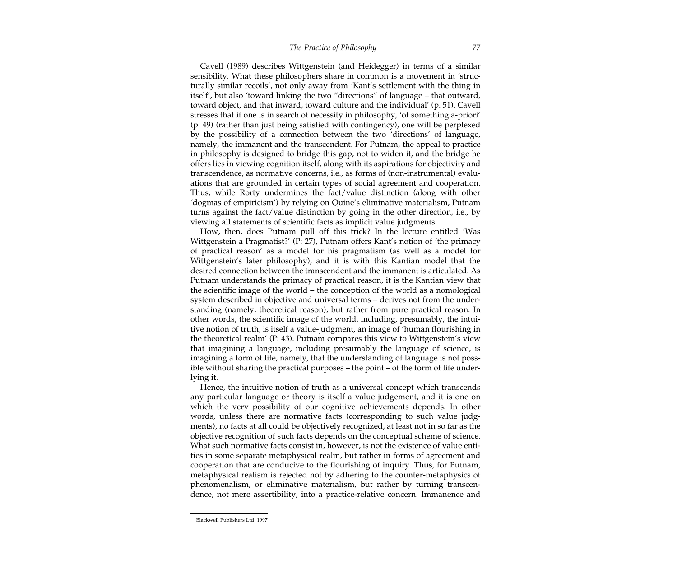Cavell (1989) describes Wittgenstein (and Heidegger) in terms of a similar sensibility. What these philosophers share in common is a movement in 'structurally similar recoils', not only away from 'Kant's settlement with the thing in itself', but also 'toward linking the two "directions" of language – that outward, toward object, and that inward, toward culture and the individual' (p. 51). Cavell stresses that if one is in search of necessity in philosophy, 'of something a-priori' (p. 49) (rather than just being satisfied with contingency), one will be perplexed by the possibility of a connection between the two 'directions' of language, namely, the immanent and the transcendent. For Putnam, the appeal to practice in philosophy is designed to bridge this gap, not to widen it, and the bridge he offers lies in viewing cognition itself, along with its aspirations for objectivity and transcendence, as normative concerns, i.e., as forms of (non-instrumental) evaluations that are grounded in certain types of social agreement and cooperation. Thus, while Rorty undermines the fact/value distinction (along with other 'dogmas of empiricism') by relying on Quine's eliminative materialism, Putnam turns against the fact/value distinction by going in the other direction, i.e., by viewing all statements of scientific facts as implicit value judgments.

How, then, does Putnam pull off this trick? In the lecture entitled 'Was Wittgenstein a Pragmatist?' (P: 27), Putnam offers Kant's notion of 'the primacy of practical reason' as a model for his pragmatism (as well as a model for Wittgenstein's later philosophy), and it is with this Kantian model that the desired connection between the transcendent and the immanent is articulated. As Putnam understands the primacy of practical reason, it is the Kantian view that the scientific image of the world – the conception of the world as a nomological system described in objective and universal terms – derives not from the understanding (namely, theoretical reason), but rather from pure practical reason. In other words, the scientific image of the world, including, presumably, the intuitive notion of truth, is itself a value-judgment, an image of 'human flourishing in the theoretical realm' (P: 43). Putnam compares this view to Wittgenstein's view that imagining a language, including presumably the language of science, is imagining a form of life, namely, that the understanding of language is not possible without sharing the practical purposes – the point – of the form of life underlying it.

Hence, the intuitive notion of truth as a universal concept which transcends any particular language or theory is itself a value judgement, and it is one on which the very possibility of our cognitive achievements depends. In other words, unless there are normative facts (corresponding to such value judgments), no facts at all could be objectively recognized, at least not in so far as the objective recognition of such facts depends on the conceptual scheme of science. What such normative facts consist in, however, is not the existence of value entities in some separate metaphysical realm, but rather in forms of agreement and cooperation that are conducive to the flourishing of inquiry. Thus, for Putnam, metaphysical realism is rejected not by adhering to the counter-metaphysics of phenomenalism, or eliminative materialism, but rather by turning transcendence, not mere assertibility, into a practice-relative concern. Immanence and

Blackwell Publishers Ltd. 1997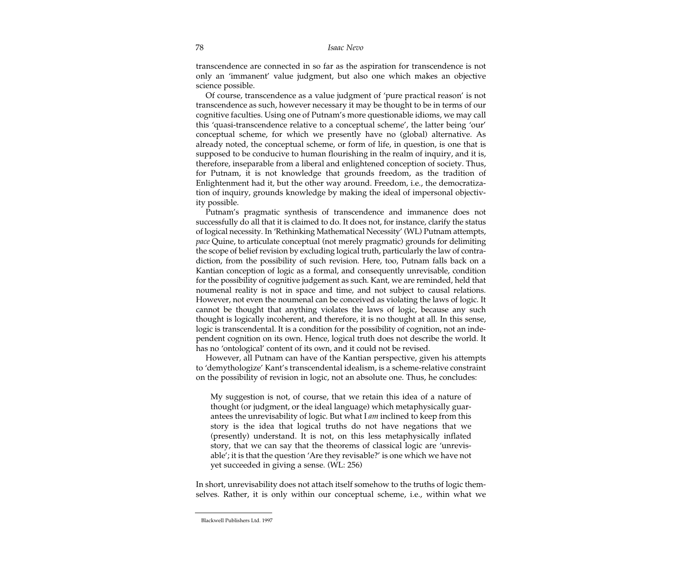#### 78 *Isaac Nevo*

transcendence are connected in so far as the aspiration for transcendence is not only an 'immanent' value judgment, but also one which makes an objective science possible.

Of course, transcendence as a value judgment of 'pure practical reason' is not transcendence as such, however necessary it may be thought to be in terms of our cognitive faculties. Using one of Putnam's more questionable idioms, we may call this 'quasi-transcendence relative to a conceptual scheme', the latter being 'our' conceptual scheme, for which we presently have no (global) alternative. As already noted, the conceptual scheme, or form of life, in question, is one that is supposed to be conducive to human flourishing in the realm of inquiry, and it is, therefore, inseparable from a liberal and enlightened conception of society. Thus, for Putnam, it is not knowledge that grounds freedom, as the tradition of Enlightenment had it, but the other way around. Freedom, i.e., the democratization of inquiry, grounds knowledge by making the ideal of impersonal objectivity possible.

Putnam's pragmatic synthesis of transcendence and immanence does not successfully do all that it is claimed to do. It does not, for instance, clarify the status of logical necessity. In 'Rethinking Mathematical Necessity' (WL) Putnam attempts, *pace* Quine, to articulate conceptual (not merely pragmatic) grounds for delimiting the scope of belief revision by excluding logical truth, particularly the law of contradiction, from the possibility of such revision. Here, too, Putnam falls back on a Kantian conception of logic as a formal, and consequently unrevisable, condition for the possibility of cognitive judgement as such. Kant, we are reminded, held that noumenal reality is not in space and time, and not subject to causal relations. However, not even the noumenal can be conceived as violating the laws of logic. It cannot be thought that anything violates the laws of logic, because any such thought is logically incoherent, and therefore, it is no thought at all. In this sense, logic is transcendental. It is a condition for the possibility of cognition, not an independent cognition on its own. Hence, logical truth does not describe the world. It has no 'ontological' content of its own, and it could not be revised.

However, all Putnam can have of the Kantian perspective, given his attempts to 'demythologize' Kant's transcendental idealism, is a scheme-relative constraint on the possibility of revision in logic, not an absolute one. Thus, he concludes:

My suggestion is not, of course, that we retain this idea of a nature of thought (or judgment, or the ideal language) which metaphysically guarantees the unrevisability of logic. But what I *am* inclined to keep from this story is the idea that logical truths do not have negations that we (presently) understand. It is not, on this less metaphysically inflated story, that we can say that the theorems of classical logic are 'unrevisable'; it is that the question 'Are they revisable?' is one which we have not yet succeeded in giving a sense. (WL: 256)

In short, unrevisability does not attach itself somehow to the truths of logic themselves. Rather, it is only within our conceptual scheme, i.e., within what we

Blackwell Publishers Ltd. 1997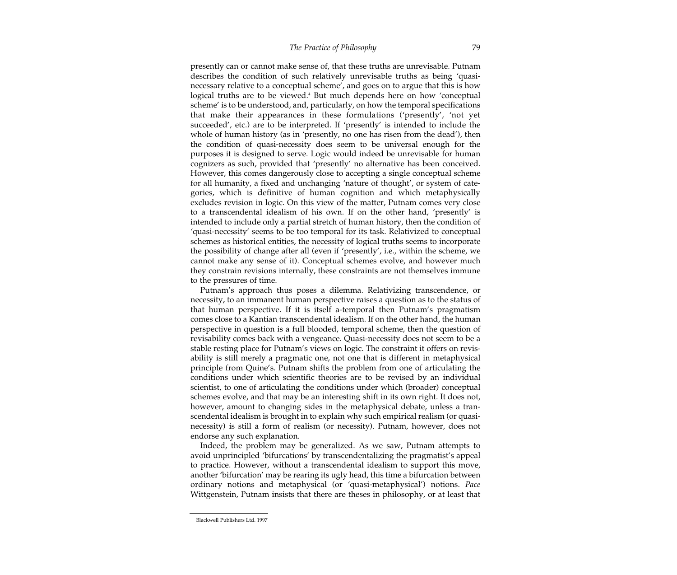presently can or cannot make sense of, that these truths are unrevisable. Putnam describes the condition of such relatively unrevisable truths as being 'quasinecessary relative to a conceptual scheme', and goes on to argue that this is how logical truths are to be viewed.<sup>4</sup> But much depends here on how 'conceptual scheme' is to be understood, and, particularly, on how the temporal specifications that make their appearances in these formulations ('presently', 'not yet succeeded', etc.) are to be interpreted. If 'presently' is intended to include the whole of human history (as in 'presently, no one has risen from the dead'), then the condition of quasi-necessity does seem to be universal enough for the purposes it is designed to serve. Logic would indeed be unrevisable for human cognizers as such, provided that 'presently' no alternative has been conceived. However, this comes dangerously close to accepting a single conceptual scheme for all humanity, a fixed and unchanging 'nature of thought', or system of categories, which is definitive of human cognition and which metaphysically excludes revision in logic. On this view of the matter, Putnam comes very close to a transcendental idealism of his own. If on the other hand, 'presently' is intended to include only a partial stretch of human history, then the condition of 'quasi-necessity' seems to be too temporal for its task. Relativized to conceptual schemes as historical entities, the necessity of logical truths seems to incorporate the possibility of change after all (even if 'presently', i.e., within the scheme, we cannot make any sense of it). Conceptual schemes evolve, and however much they constrain revisions internally, these constraints are not themselves immune to the pressures of time.

Putnam's approach thus poses a dilemma. Relativizing transcendence, or necessity, to an immanent human perspective raises a question as to the status of that human perspective. If it is itself a-temporal then Putnam's pragmatism comes close to a Kantian transcendental idealism. If on the other hand, the human perspective in question is a full blooded, temporal scheme, then the question of revisability comes back with a vengeance. Quasi-necessity does not seem to be a stable resting place for Putnam's views on logic. The constraint it offers on revisability is still merely a pragmatic one, not one that is different in metaphysical principle from Quine's. Putnam shifts the problem from one of articulating the conditions under which scientific theories are to be revised by an individual scientist, to one of articulating the conditions under which (broader) conceptual schemes evolve, and that may be an interesting shift in its own right. It does not, however, amount to changing sides in the metaphysical debate, unless a transcendental idealism is brought in to explain why such empirical realism (or quasinecessity) is still a form of realism (or necessity). Putnam, however, does not endorse any such explanation.

Indeed, the problem may be generalized. As we saw, Putnam attempts to avoid unprincipled 'bifurcations' by transcendentalizing the pragmatist's appeal to practice. However, without a transcendental idealism to support this move, another 'bifurcation' may be rearing its ugly head, this time a bifurcation between ordinary notions and metaphysical (or 'quasi-metaphysical') notions. *Pace* Wittgenstein, Putnam insists that there are theses in philosophy, or at least that

Blackwell Publishers Ltd. 1997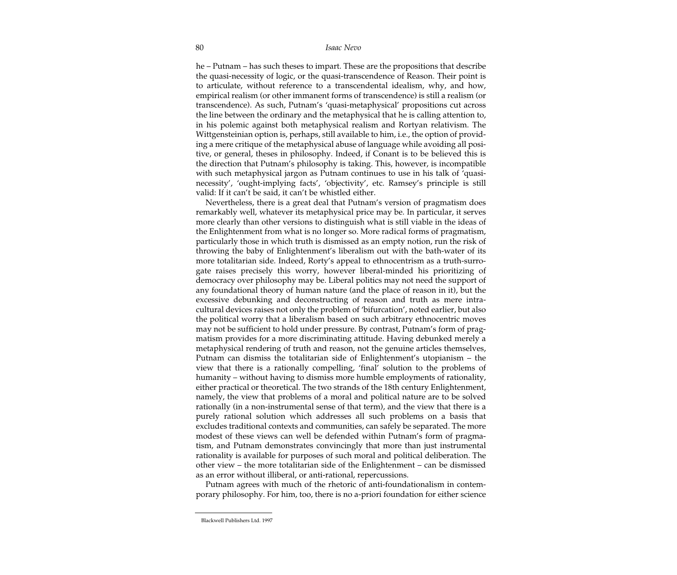#### 80 *Isaac Nevo*

he – Putnam – has such theses to impart. These are the propositions that describe the quasi-necessity of logic, or the quasi-transcendence of Reason. Their point is to articulate, without reference to a transcendental idealism, why, and how, empirical realism (or other immanent forms of transcendence) is still a realism (or transcendence). As such, Putnam's 'quasi-metaphysical' propositions cut across the line between the ordinary and the metaphysical that he is calling attention to, in his polemic against both metaphysical realism and Rortyan relativism. The Wittgensteinian option is, perhaps, still available to him, i.e., the option of providing a mere critique of the metaphysical abuse of language while avoiding all positive, or general, theses in philosophy. Indeed, if Conant is to be believed this is the direction that Putnam's philosophy is taking. This, however, is incompatible with such metaphysical jargon as Putnam continues to use in his talk of 'quasinecessity', 'ought-implying facts', 'objectivity', etc. Ramsey's principle is still valid: If it can't be said, it can't be whistled either.

Nevertheless, there is a great deal that Putnam's version of pragmatism does remarkably well, whatever its metaphysical price may be. In particular, it serves more clearly than other versions to distinguish what is still viable in the ideas of the Enlightenment from what is no longer so. More radical forms of pragmatism, particularly those in which truth is dismissed as an empty notion, run the risk of throwing the baby of Enlightenment's liberalism out with the bath-water of its more totalitarian side. Indeed, Rorty's appeal to ethnocentrism as a truth-surrogate raises precisely this worry, however liberal-minded his prioritizing of democracy over philosophy may be. Liberal politics may not need the support of any foundational theory of human nature (and the place of reason in it), but the excessive debunking and deconstructing of reason and truth as mere intracultural devices raises not only the problem of 'bifurcation', noted earlier, but also the political worry that a liberalism based on such arbitrary ethnocentric moves may not be sufficient to hold under pressure. By contrast, Putnam's form of pragmatism provides for a more discriminating attitude. Having debunked merely a metaphysical rendering of truth and reason, not the genuine articles themselves, Putnam can dismiss the totalitarian side of Enlightenment's utopianism – the view that there is a rationally compelling, 'final' solution to the problems of humanity – without having to dismiss more humble employments of rationality, either practical or theoretical. The two strands of the 18th century Enlightenment, namely, the view that problems of a moral and political nature are to be solved rationally (in a non-instrumental sense of that term), and the view that there is a purely rational solution which addresses all such problems on a basis that excludes traditional contexts and communities, can safely be separated. The more modest of these views can well be defended within Putnam's form of pragmatism, and Putnam demonstrates convincingly that more than just instrumental rationality is available for purposes of such moral and political deliberation. The other view – the more totalitarian side of the Enlightenment – can be dismissed as an error without illiberal, or anti-rational, repercussions.

Putnam agrees with much of the rhetoric of anti-foundationalism in contemporary philosophy. For him, too, there is no a-priori foundation for either science

Blackwell Publishers Ltd. 1997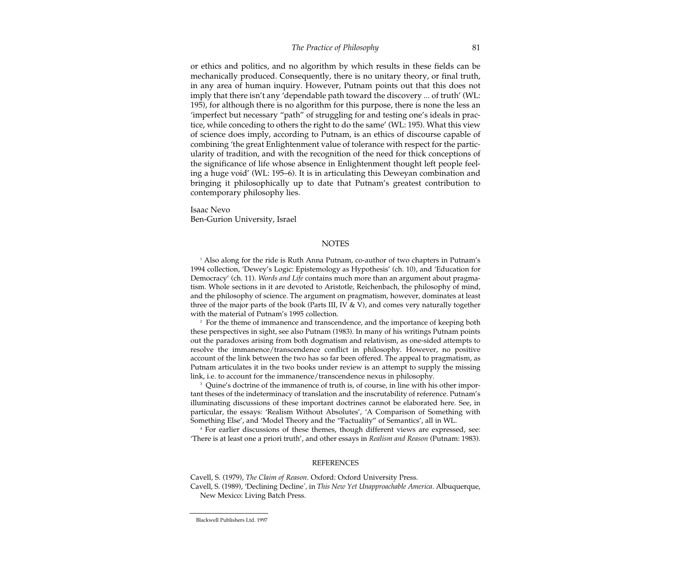or ethics and politics, and no algorithm by which results in these fields can be mechanically produced. Consequently, there is no unitary theory, or final truth, in any area of human inquiry. However, Putnam points out that this does not imply that there isn't any 'dependable path toward the discovery ... of truth' (WL: 195), for although there is no algorithm for this purpose, there is none the less an 'imperfect but necessary "path" of struggling for and testing one's ideals in practice, while conceding to others the right to do the same' (WL: 195). What this view of science does imply, according to Putnam, is an ethics of discourse capable of combining 'the great Enlightenment value of tolerance with respect for the particularity of tradition, and with the recognition of the need for thick conceptions of the significance of life whose absence in Enlightenment thought left people feeling a huge void' (WL: 195–6). It is in articulating this Deweyan combination and bringing it philosophically up to date that Putnam's greatest contribution to contemporary philosophy lies.

Isaac Nevo Ben-Gurion University, Israel

### **NOTES**

<sup>1</sup> Also along for the ride is Ruth Anna Putnam, co-author of two chapters in Putnam's 1994 collection, 'Dewey's Logic: Epistemology as Hypothesis' (ch. 10), and 'Education for Democracy' (ch. 11). *Words and Life* contains much more than an argument about pragmatism. Whole sections in it are devoted to Aristotle, Reichenbach, the philosophy of mind, and the philosophy of science. The argument on pragmatism, however, dominates at least three of the major parts of the book (Parts III, IV & V), and comes very naturally together with the material of Putnam's 1995 collection.

<sup>2</sup> For the theme of immanence and transcendence, and the importance of keeping both these perspectives in sight, see also Putnam (1983). In many of his writings Putnam points out the paradoxes arising from both dogmatism and relativism, as one-sided attempts to resolve the immanence/transcendence conflict in philosophy. However, no positive account of the link between the two has so far been offered. The appeal to pragmatism, as Putnam articulates it in the two books under review is an attempt to supply the missing link, i.e. to account for the immanence/transcendence nexus in philosophy.

<sup>3</sup> Quine's doctrine of the immanence of truth is, of course, in line with his other important theses of the indeterminacy of translation and the inscrutability of reference. Putnam's illuminating discussions of these important doctrines cannot be elaborated here. See, in particular, the essays: 'Realism Without Absolutes', 'A Comparison of Something with Something Else', and 'Model Theory and the "Factuality" of Semantics', all in WL.

<sup>4</sup> For earlier discussions of these themes, though different views are expressed, see: 'There is at least one a priori truth', and other essays in *Realism and Reason* (Putnam: 1983).

#### **REFERENCES**

Cavell, S. (1979), *The Claim of Reason*. Oxford: Oxford University Press. Cavell, S. (1989), 'Declining Decline*',* in *This New Yet Unapproachable America*. Albuquerque,

New Mexico: Living Batch Press.

Blackwell Publishers Ltd. 1997